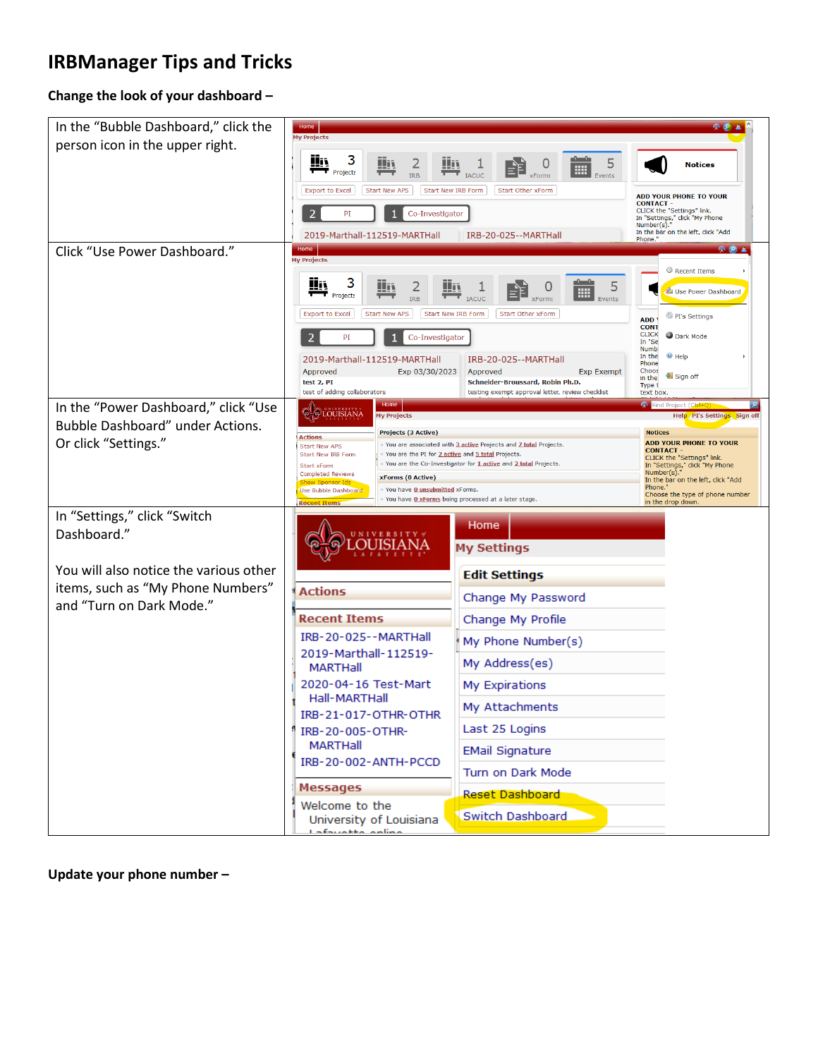## **IRBManager Tips and Tricks**

## **Change the look of your dashboard –**

| In the "Bubble Dashboard," click the                                     | Home<br><b>My Projects</b>                                                                                                                                                                         |                                                                                                                                                                                |  |  |  |  |
|--------------------------------------------------------------------------|----------------------------------------------------------------------------------------------------------------------------------------------------------------------------------------------------|--------------------------------------------------------------------------------------------------------------------------------------------------------------------------------|--|--|--|--|
| person icon in the upper right.                                          | 3<br>Wi<br>5<br>E                                                                                                                                                                                  | <b>Notices</b>                                                                                                                                                                 |  |  |  |  |
|                                                                          | $\blacksquare$ Projects<br><b>IACUC</b><br>Start New IRB Form<br><b>Export to Excel</b><br><b>Start New APS</b><br>Start Other xForm                                                               | <b>ADD YOUR PHONE TO YOUR</b><br><b>CONTACT-</b><br>CLICK the "Settings" link.<br>In "Settings," click "My Phone<br>Number(s).<br>In the bar on the left, click "Add<br>Phone. |  |  |  |  |
|                                                                          | 2<br>PI<br>Co-Investigator                                                                                                                                                                         |                                                                                                                                                                                |  |  |  |  |
|                                                                          | 2019-Marthall-112519-MARTHall<br>IRB-20-025--MARTHall                                                                                                                                              |                                                                                                                                                                                |  |  |  |  |
| Click "Use Power Dashboard."                                             | Home<br>凤のる<br><b>My Projects</b>                                                                                                                                                                  |                                                                                                                                                                                |  |  |  |  |
|                                                                          | 3<br>Wi<br>5<br><u>Hij</u>                                                                                                                                                                         | Recent Items                                                                                                                                                                   |  |  |  |  |
|                                                                          | m<br>$\blacksquare$ Projects<br><b>IACUC</b><br><b>IRB</b><br>Events                                                                                                                               | Use Power Dashboard                                                                                                                                                            |  |  |  |  |
|                                                                          | Start New IRB Form<br>Start Other xForm<br><b>Export to Excel</b><br><b>Start New APS</b>                                                                                                          | PI's Settings<br>ADD <sup>'</sup><br><b>CONT</b><br><b>CLICK</b>                                                                                                               |  |  |  |  |
|                                                                          | $\overline{2}$<br>Co-Investigator<br>PI                                                                                                                                                            | Dark Mode<br>In "Se<br><b>Numb</b><br>$\Theta$ Help<br>In the                                                                                                                  |  |  |  |  |
|                                                                          | 2019-Marthall-112519-MARTHall<br>IRB-20-025--MARTHall<br>Exp 03/30/2023<br>Approved<br>Approved<br><b>Exp Exempt</b><br>test 2, PI                                                                 | Phone<br>Choos<br>Sign off<br>in the                                                                                                                                           |  |  |  |  |
|                                                                          | Schneider-Broussard, Robin Ph.D.<br>test of adding collaborators<br>testing exempt approval letter, review checklist<br>Home                                                                       | Type t<br>text box.<br>Pind Project (Ctrl+Q                                                                                                                                    |  |  |  |  |
| In the "Power Dashboard," click "Use<br>Bubble Dashboard" under Actions. | <b>QLOUISIANA</b><br><b>My Projects</b>                                                                                                                                                            | Help PI's Settings Sign off                                                                                                                                                    |  |  |  |  |
| Or click "Settings."                                                     | <b>Projects (3 Active)</b><br><b>Actions</b><br>You are associated with 3 active Projects and 7 total Projects.<br><b>Start New APS</b>                                                            | <b>Notices</b><br><b>ADD YOUR PHONE TO YOUR</b><br><b>CONTACT</b>                                                                                                              |  |  |  |  |
|                                                                          | You are the PI for 2 active and 5 total Projects.<br><b>Start New IRB Form</b><br>You are the Co-Investigator for 1 active and 2 total Projects.<br><b>Start xForm</b><br><b>Completed Reviews</b> | CLICK the "Settings" link.<br>In "Settings," click "My Phone<br>Number(s).                                                                                                     |  |  |  |  |
|                                                                          | <b>xForms (0 Active)</b><br>You have <b>0 unsubmitted</b> xForms.<br>Use Bubble Dashboard<br>You have O xForms being processed at a later stage.                                                   | In the bar on the left, click "Add<br>Phone.<br>Choose the type of phone number                                                                                                |  |  |  |  |
| In "Settings," click "Switch                                             | <b>Recent Items</b>                                                                                                                                                                                | in the drop down.                                                                                                                                                              |  |  |  |  |
| Dashboard."                                                              | Home<br>U N I V E R S I T Y<br><b>My Settings</b>                                                                                                                                                  |                                                                                                                                                                                |  |  |  |  |
| You will also notice the various other                                   |                                                                                                                                                                                                    |                                                                                                                                                                                |  |  |  |  |
| items, such as "My Phone Numbers"<br>and "Turn on Dark Mode."            | <b>Edit Settings</b><br><b>Actions</b>                                                                                                                                                             |                                                                                                                                                                                |  |  |  |  |
|                                                                          | <b>Recent Items</b>                                                                                                                                                                                | Change My Password<br>Change My Profile                                                                                                                                        |  |  |  |  |
|                                                                          | IRB-20-025--MARTHall<br>My Phone Number(s)                                                                                                                                                         |                                                                                                                                                                                |  |  |  |  |
|                                                                          | 2019-Marthall-112519-<br>My Address(es)<br>MARTHall                                                                                                                                                |                                                                                                                                                                                |  |  |  |  |
|                                                                          | 2020-04-16 Test-Mart<br>My Expirations                                                                                                                                                             |                                                                                                                                                                                |  |  |  |  |
|                                                                          | Hall-MARTHall<br>My Attachments<br>IRB-21-017-OTHR-OTHR                                                                                                                                            |                                                                                                                                                                                |  |  |  |  |
|                                                                          | Last 25 Logins<br>IRB-20-005-OTHR-                                                                                                                                                                 |                                                                                                                                                                                |  |  |  |  |
|                                                                          | <b>MARTHall</b><br><b>EMail Signature</b><br>IRB-20-002-ANTH-PCCD                                                                                                                                  |                                                                                                                                                                                |  |  |  |  |
|                                                                          | Turn on Dark Mode                                                                                                                                                                                  |                                                                                                                                                                                |  |  |  |  |
|                                                                          | <b>Messages</b><br>Reset Dashboard<br>Welcome to the                                                                                                                                               |                                                                                                                                                                                |  |  |  |  |
|                                                                          | Switch Dashboard<br>University of Louisiana<br>Lafausthe spline                                                                                                                                    |                                                                                                                                                                                |  |  |  |  |

**Update your phone number –**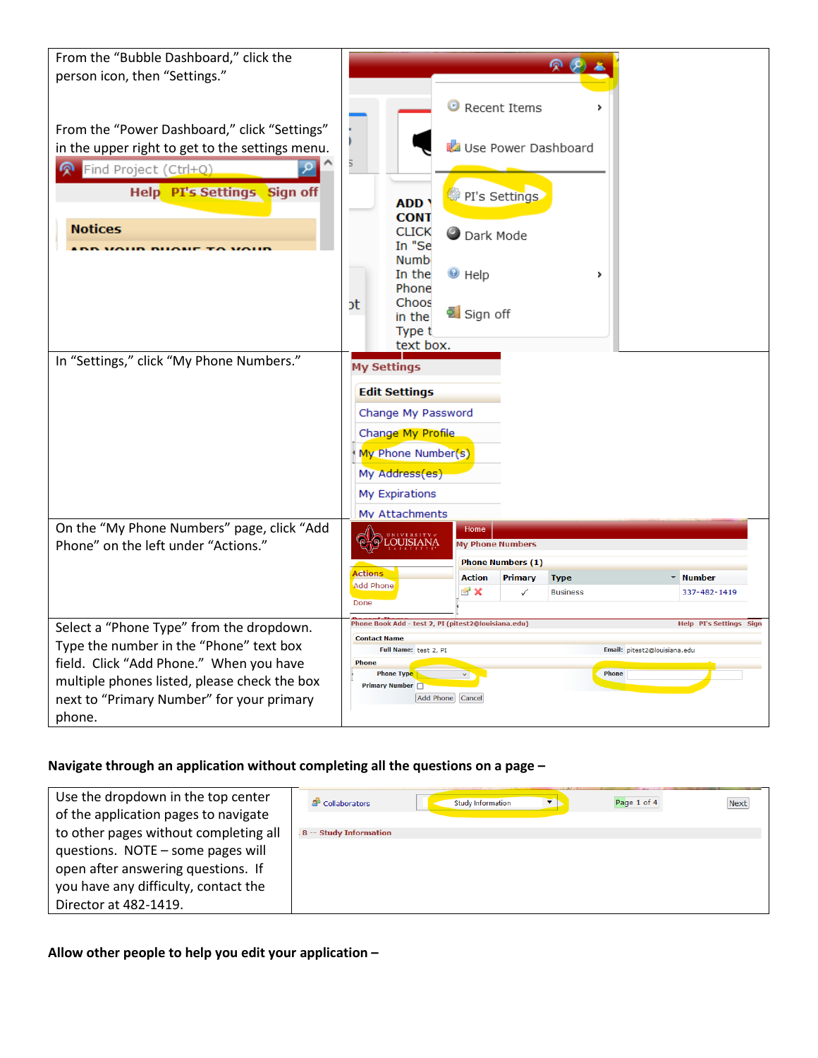| From the "Bubble Dashboard," click the          | $\Omega$                                                                              |  |
|-------------------------------------------------|---------------------------------------------------------------------------------------|--|
| person icon, then "Settings."                   |                                                                                       |  |
|                                                 |                                                                                       |  |
|                                                 | <sup>©</sup> Recent Items                                                             |  |
|                                                 |                                                                                       |  |
| From the "Power Dashboard," click "Settings"    |                                                                                       |  |
| in the upper right to get to the settings menu. | Use Power Dashboard                                                                   |  |
| Find Project (Ctrl+Q)                           | 5                                                                                     |  |
|                                                 |                                                                                       |  |
| Help PI's Settings Sign off                     | PI's Settings<br><b>ADD</b>                                                           |  |
|                                                 | <b>CONT</b>                                                                           |  |
| <b>Notices</b>                                  | <b>CLICK</b><br><b>Dark Mode</b>                                                      |  |
|                                                 | In "Se                                                                                |  |
|                                                 | <b>Numb</b>                                                                           |  |
|                                                 | In the<br>$\bullet$ Help<br>,<br>Phone                                                |  |
|                                                 | Choos                                                                                 |  |
|                                                 | ot<br>a Sign off<br>in the                                                            |  |
|                                                 | Type t                                                                                |  |
|                                                 | text box.                                                                             |  |
| In "Settings," click "My Phone Numbers."        | <b>My Settings</b>                                                                    |  |
|                                                 |                                                                                       |  |
|                                                 | <b>Edit Settings</b>                                                                  |  |
|                                                 | Change My Password                                                                    |  |
|                                                 | Change My Profile                                                                     |  |
|                                                 |                                                                                       |  |
|                                                 | My Phone Number(s)                                                                    |  |
|                                                 | My Address(es)                                                                        |  |
|                                                 | My Expirations                                                                        |  |
|                                                 | My Attachments                                                                        |  |
| On the "My Phone Numbers" page, click "Add      | Home                                                                                  |  |
| Phone" on the left under "Actions."             | <b>OUISIANA</b><br><b>My Phone Numbers</b>                                            |  |
|                                                 | <b>Phone Numbers (1)</b>                                                              |  |
|                                                 | <b>Actions</b><br>* Number<br><b>Action</b><br>Primary<br><b>Type</b>                 |  |
|                                                 | <b>Add Phone</b><br>$\mathbb{R}^2$ X<br>337-482-1419<br>✓<br><b>Business</b>          |  |
|                                                 | Done                                                                                  |  |
| Select a "Phone Type" from the dropdown.        | Phone Book Add - test 2, PI (pitest2@louisiana.edu)<br><b>Help PI's Settings Sign</b> |  |
| Type the number in the "Phone" text box         | <b>Contact Name</b>                                                                   |  |
|                                                 | Full Name: test 2, PI<br>Email: pitest2@louisiana.edu<br><b>Phone</b>                 |  |
| field. Click "Add Phone." When you have         | Phone<br><b>Phone Type</b>                                                            |  |
| multiple phones listed, please check the box    | <b>Primary Number</b> □                                                               |  |
| next to "Primary Number" for your primary       | Add Phone Cancel                                                                      |  |
| phone.                                          |                                                                                       |  |

## **Navigate through an application without completing all the questions on a page –**

| Use the dropdown in the top center<br>of the application pages to navigate | & Collaborators         | Study Information | Page 1 of 4<br>▼ | <b>Next</b> |
|----------------------------------------------------------------------------|-------------------------|-------------------|------------------|-------------|
| to other pages without completing all                                      | .8 -- Study Information |                   |                  |             |
| questions. NOTE - some pages will                                          |                         |                   |                  |             |
| open after answering questions. If                                         |                         |                   |                  |             |
| you have any difficulty, contact the                                       |                         |                   |                  |             |
| Director at 482-1419.                                                      |                         |                   |                  |             |

**Allow other people to help you edit your application –**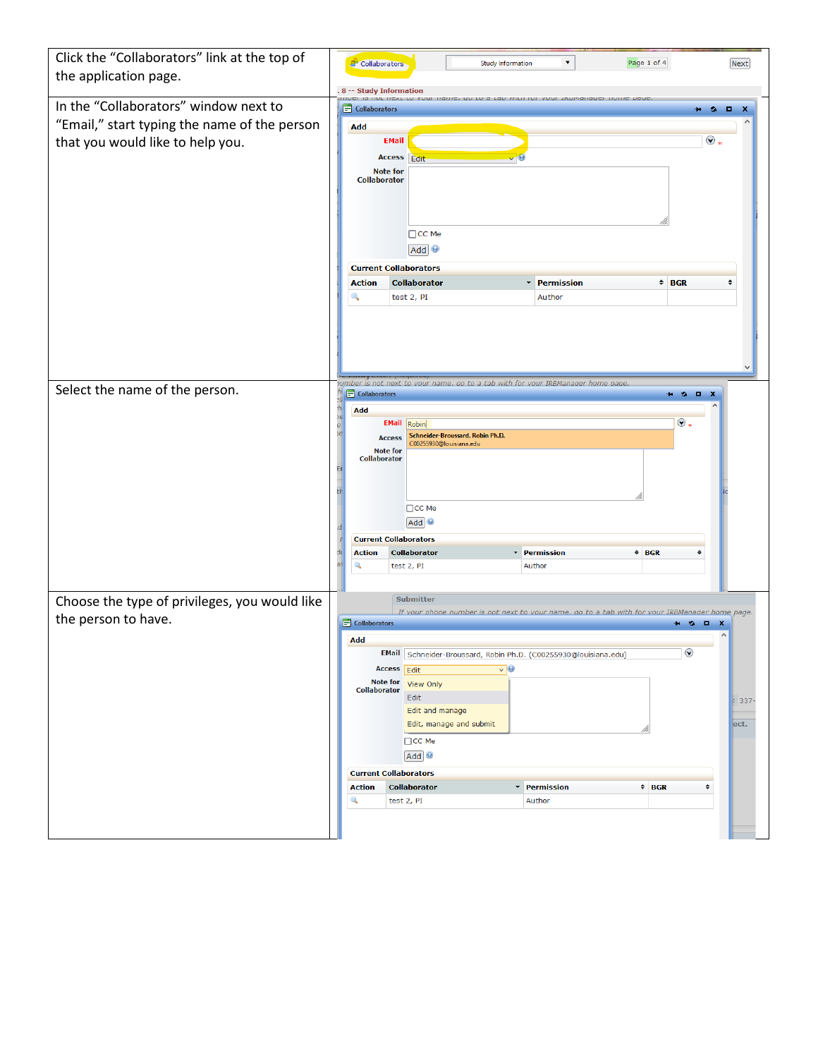